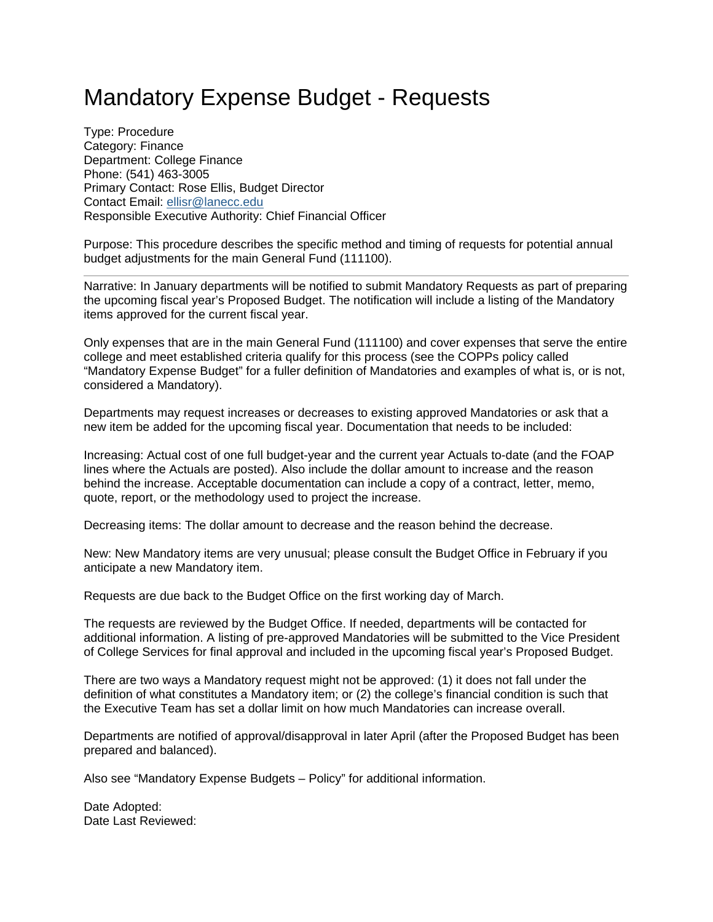## Mandatory Expense Budget - Requests

Type: Procedure Category: Finance Department: College Finance Phone: (541) 463-3005 Primary Contact: Rose Ellis, Budget Director Contact Email: [ellisr@lanecc.edu](mailto:ellisr@lanecc.edu) Responsible Executive Authority: Chief Financial Officer

Purpose: This procedure describes the specific method and timing of requests for potential annual budget adjustments for the main General Fund (111100).

Narrative: In January departments will be notified to submit Mandatory Requests as part of preparing the upcoming fiscal year's Proposed Budget. The notification will include a listing of the Mandatory items approved for the current fiscal year.

Only expenses that are in the main General Fund (111100) and cover expenses that serve the entire college and meet established criteria qualify for this process (see the COPPs policy called "Mandatory Expense Budget" for a fuller definition of Mandatories and examples of what is, or is not, considered a Mandatory).

Departments may request increases or decreases to existing approved Mandatories or ask that a new item be added for the upcoming fiscal year. Documentation that needs to be included:

Increasing: Actual cost of one full budget-year and the current year Actuals to-date (and the FOAP lines where the Actuals are posted). Also include the dollar amount to increase and the reason behind the increase. Acceptable documentation can include a copy of a contract, letter, memo, quote, report, or the methodology used to project the increase.

Decreasing items: The dollar amount to decrease and the reason behind the decrease.

New: New Mandatory items are very unusual; please consult the Budget Office in February if you anticipate a new Mandatory item.

Requests are due back to the Budget Office on the first working day of March.

The requests are reviewed by the Budget Office. If needed, departments will be contacted for additional information. A listing of pre-approved Mandatories will be submitted to the Vice President of College Services for final approval and included in the upcoming fiscal year's Proposed Budget.

There are two ways a Mandatory request might not be approved: (1) it does not fall under the definition of what constitutes a Mandatory item; or (2) the college's financial condition is such that the Executive Team has set a dollar limit on how much Mandatories can increase overall.

Departments are notified of approval/disapproval in later April (after the Proposed Budget has been prepared and balanced).

Also see "Mandatory Expense Budgets – Policy" for additional information.

Date Adopted: Date Last Reviewed: